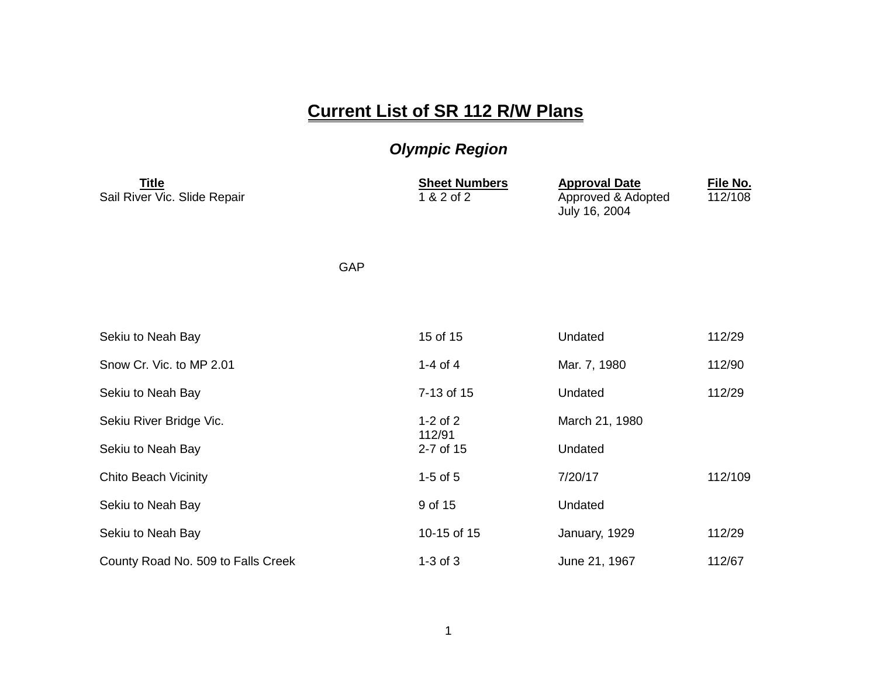## **Current List of SR 112 R/W Plans**

## *Olympic Region*

| <b>Title</b><br>Sail River Vic. Slide Repair |     | <b>Sheet Numbers</b><br>1 & 2 of 2 | <b>Approval Date</b><br>Approved & Adopted<br>July 16, 2004 | File No.<br>112/108 |
|----------------------------------------------|-----|------------------------------------|-------------------------------------------------------------|---------------------|
|                                              | GAP |                                    |                                                             |                     |
|                                              |     |                                    |                                                             |                     |
| Sekiu to Neah Bay                            |     | 15 of 15                           | Undated                                                     | 112/29              |
| Snow Cr. Vic. to MP 2.01                     |     | 1-4 of 4                           | Mar. 7, 1980                                                | 112/90              |
| Sekiu to Neah Bay                            |     | 7-13 of 15                         | Undated                                                     | 112/29              |
| Sekiu River Bridge Vic.                      |     | $1-2$ of $2$                       | March 21, 1980                                              |                     |
| Sekiu to Neah Bay                            |     | 112/91<br>2-7 of 15                | Undated                                                     |                     |
| <b>Chito Beach Vicinity</b>                  |     | $1-5$ of $5$                       | 7/20/17                                                     | 112/109             |
| Sekiu to Neah Bay                            |     | 9 of 15                            | Undated                                                     |                     |
| Sekiu to Neah Bay                            |     | 10-15 of 15                        | January, 1929                                               | 112/29              |
| County Road No. 509 to Falls Creek           |     | $1-3$ of $3$                       | June 21, 1967                                               | 112/67              |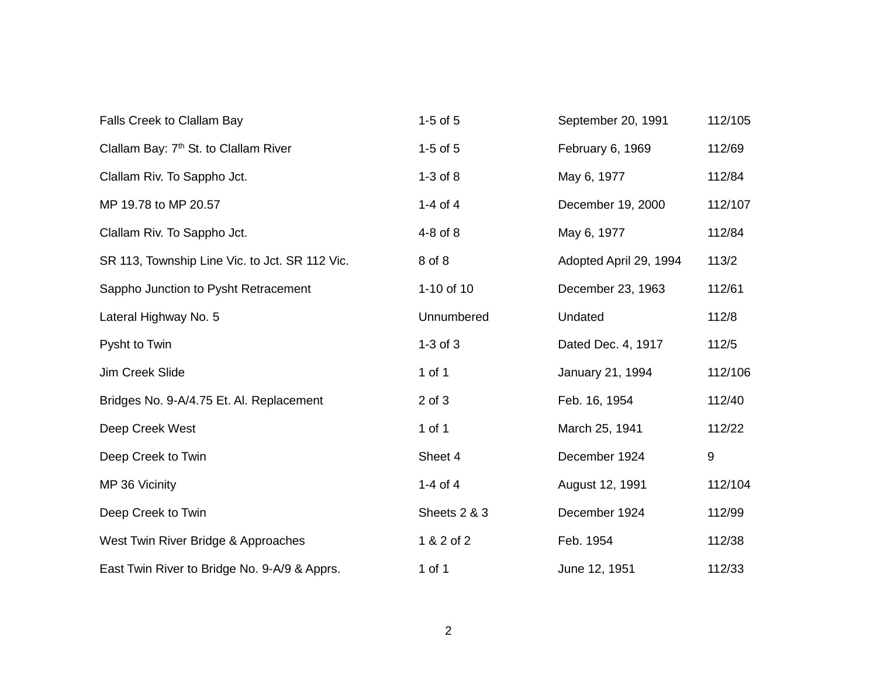| Falls Creek to Clallam Bay                        | $1-5$ of $5$ | September 20, 1991     | 112/105 |
|---------------------------------------------------|--------------|------------------------|---------|
| Clallam Bay: 7 <sup>th</sup> St. to Clallam River | $1-5$ of $5$ | February 6, 1969       | 112/69  |
| Clallam Riv. To Sappho Jct.                       | $1-3$ of $8$ | May 6, 1977            | 112/84  |
| MP 19.78 to MP 20.57                              | 1-4 of 4     | December 19, 2000      | 112/107 |
| Clallam Riv. To Sappho Jct.                       | 4-8 of 8     | May 6, 1977            | 112/84  |
| SR 113, Township Line Vic. to Jct. SR 112 Vic.    | 8 of 8       | Adopted April 29, 1994 | 113/2   |
| Sappho Junction to Pysht Retracement              | 1-10 of 10   | December 23, 1963      | 112/61  |
| Lateral Highway No. 5                             | Unnumbered   | Undated                | 112/8   |
| Pysht to Twin                                     | $1-3$ of $3$ | Dated Dec. 4, 1917     | 112/5   |
| Jim Creek Slide                                   | 1 of 1       | January 21, 1994       | 112/106 |
| Bridges No. 9-A/4.75 Et. Al. Replacement          | $2$ of $3$   | Feb. 16, 1954          | 112/40  |
| Deep Creek West                                   | 1 of 1       | March 25, 1941         | 112/22  |
| Deep Creek to Twin                                | Sheet 4      | December 1924          | 9       |
| MP 36 Vicinity                                    | 1-4 of 4     | August 12, 1991        | 112/104 |
| Deep Creek to Twin                                | Sheets 2 & 3 | December 1924          | 112/99  |
| West Twin River Bridge & Approaches               | 1 & 2 of 2   | Feb. 1954              | 112/38  |
| East Twin River to Bridge No. 9-A/9 & Apprs.      | 1 of 1       | June 12, 1951          | 112/33  |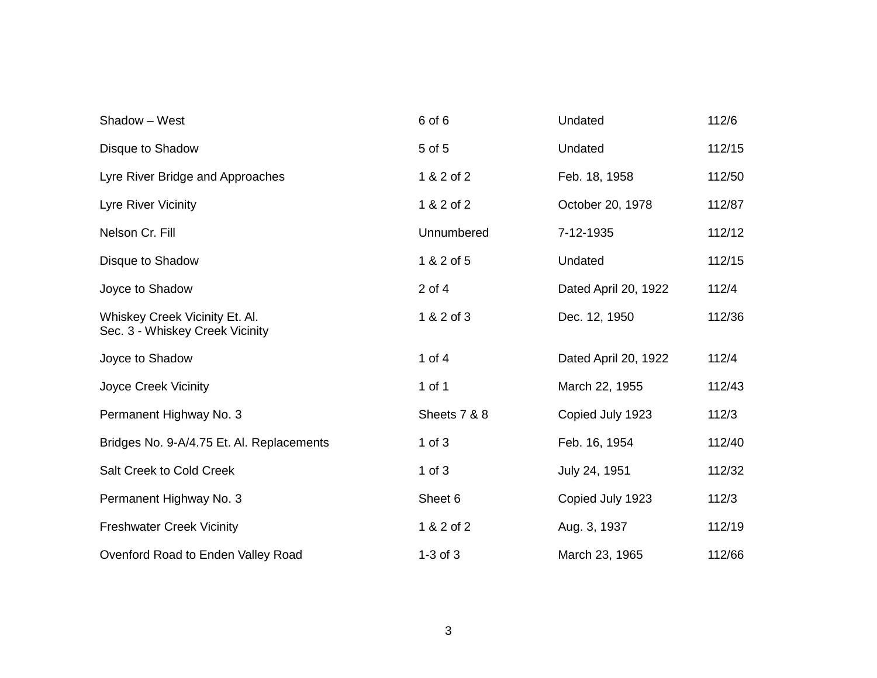| Shadow - West                                                     | 6 of 6       | Undated              | 112/6  |
|-------------------------------------------------------------------|--------------|----------------------|--------|
| Disque to Shadow                                                  | 5 of 5       | Undated              | 112/15 |
| Lyre River Bridge and Approaches                                  | 1 & 2 of 2   | Feb. 18, 1958        | 112/50 |
| Lyre River Vicinity                                               | 1 & 2 of 2   | October 20, 1978     | 112/87 |
| Nelson Cr. Fill                                                   | Unnumbered   | 7-12-1935            | 112/12 |
| Disque to Shadow                                                  | 1 & 2 of 5   | Undated              | 112/15 |
| Joyce to Shadow                                                   | 2 of 4       | Dated April 20, 1922 | 112/4  |
| Whiskey Creek Vicinity Et. Al.<br>Sec. 3 - Whiskey Creek Vicinity | 1 & 2 of 3   | Dec. 12, 1950        | 112/36 |
| Joyce to Shadow                                                   | 1 of $4$     | Dated April 20, 1922 | 112/4  |
| Joyce Creek Vicinity                                              | 1 of 1       | March 22, 1955       | 112/43 |
| Permanent Highway No. 3                                           | Sheets 7 & 8 | Copied July 1923     | 112/3  |
| Bridges No. 9-A/4.75 Et. Al. Replacements                         | $1$ of $3$   | Feb. 16, 1954        | 112/40 |
| Salt Creek to Cold Creek                                          | 1 of $3$     | July 24, 1951        | 112/32 |
| Permanent Highway No. 3                                           | Sheet 6      | Copied July 1923     | 112/3  |
| <b>Freshwater Creek Vicinity</b>                                  | 1 & 2 of 2   | Aug. 3, 1937         | 112/19 |
| Ovenford Road to Enden Valley Road                                | $1-3$ of $3$ | March 23, 1965       | 112/66 |